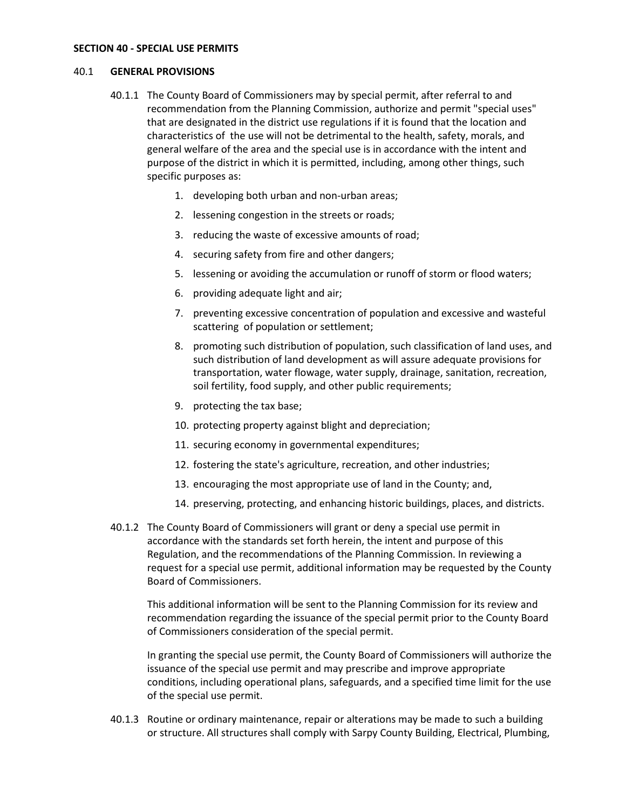#### **SECTION 40 - SPECIAL USE PERMITS**

#### 40.1 **GENERAL PROVISIONS**

- 40.1.1 The County Board of Commissioners may by special permit, after referral to and recommendation from the Planning Commission, authorize and permit "special uses" that are designated in the district use regulations if it is found that the location and characteristics of the use will not be detrimental to the health, safety, morals, and general welfare of the area and the special use is in accordance with the intent and purpose of the district in which it is permitted, including, among other things, such specific purposes as:
	- 1. developing both urban and non-urban areas;
	- 2. lessening congestion in the streets or roads;
	- 3. reducing the waste of excessive amounts of road;
	- 4. securing safety from fire and other dangers;
	- 5. lessening or avoiding the accumulation or runoff of storm or flood waters;
	- 6. providing adequate light and air;
	- 7. preventing excessive concentration of population and excessive and wasteful scattering of population or settlement;
	- 8. promoting such distribution of population, such classification of land uses, and such distribution of land development as will assure adequate provisions for transportation, water flowage, water supply, drainage, sanitation, recreation, soil fertility, food supply, and other public requirements;
	- 9. protecting the tax base;
	- 10. protecting property against blight and depreciation;
	- 11. securing economy in governmental expenditures;
	- 12. fostering the state's agriculture, recreation, and other industries;
	- 13. encouraging the most appropriate use of land in the County; and,
	- 14. preserving, protecting, and enhancing historic buildings, places, and districts.
- 40.1.2 The County Board of Commissioners will grant or deny a special use permit in accordance with the standards set forth herein, the intent and purpose of this Regulation, and the recommendations of the Planning Commission. In reviewing a request for a special use permit, additional information may be requested by the County Board of Commissioners.

This additional information will be sent to the Planning Commission for its review and recommendation regarding the issuance of the special permit prior to the County Board of Commissioners consideration of the special permit.

In granting the special use permit, the County Board of Commissioners will authorize the issuance of the special use permit and may prescribe and improve appropriate conditions, including operational plans, safeguards, and a specified time limit for the use of the special use permit.

40.1.3 Routine or ordinary maintenance, repair or alterations may be made to such a building or structure. All structures shall comply with Sarpy County Building, Electrical, Plumbing,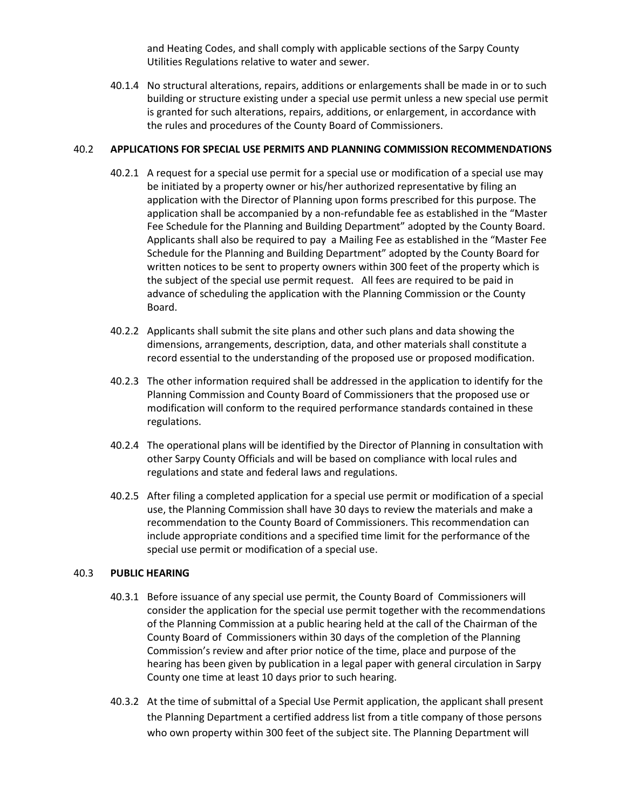and Heating Codes, and shall comply with applicable sections of the Sarpy County Utilities Regulations relative to water and sewer.

40.1.4 No structural alterations, repairs, additions or enlargements shall be made in or to such building or structure existing under a special use permit unless a new special use permit is granted for such alterations, repairs, additions, or enlargement, in accordance with the rules and procedures of the County Board of Commissioners.

### 40.2 **APPLICATIONS FOR SPECIAL USE PERMITS AND PLANNING COMMISSION RECOMMENDATIONS**

- 40.2.1 A request for a special use permit for a special use or modification of a special use may be initiated by a property owner or his/her authorized representative by filing an application with the Director of Planning upon forms prescribed for this purpose. The application shall be accompanied by a non-refundable fee as established in the "Master Fee Schedule for the Planning and Building Department" adopted by the County Board. Applicants shall also be required to pay a Mailing Fee as established in the "Master Fee Schedule for the Planning and Building Department" adopted by the County Board for written notices to be sent to property owners within 300 feet of the property which is the subject of the special use permit request. All fees are required to be paid in advance of scheduling the application with the Planning Commission or the County Board.
- 40.2.2 Applicants shall submit the site plans and other such plans and data showing the dimensions, arrangements, description, data, and other materials shall constitute a record essential to the understanding of the proposed use or proposed modification.
- 40.2.3 The other information required shall be addressed in the application to identify for the Planning Commission and County Board of Commissioners that the proposed use or modification will conform to the required performance standards contained in these regulations.
- 40.2.4 The operational plans will be identified by the Director of Planning in consultation with other Sarpy County Officials and will be based on compliance with local rules and regulations and state and federal laws and regulations.
- 40.2.5 After filing a completed application for a special use permit or modification of a special use, the Planning Commission shall have 30 days to review the materials and make a recommendation to the County Board of Commissioners. This recommendation can include appropriate conditions and a specified time limit for the performance of the special use permit or modification of a special use.

# 40.3 **PUBLIC HEARING**

- 40.3.1 Before issuance of any special use permit, the County Board of Commissioners will consider the application for the special use permit together with the recommendations of the Planning Commission at a public hearing held at the call of the Chairman of the County Board of Commissioners within 30 days of the completion of the Planning Commission's review and after prior notice of the time, place and purpose of the hearing has been given by publication in a legal paper with general circulation in Sarpy County one time at least 10 days prior to such hearing.
- 40.3.2 At the time of submittal of a Special Use Permit application, the applicant shall present the Planning Department a certified address list from a title company of those persons who own property within 300 feet of the subject site. The Planning Department will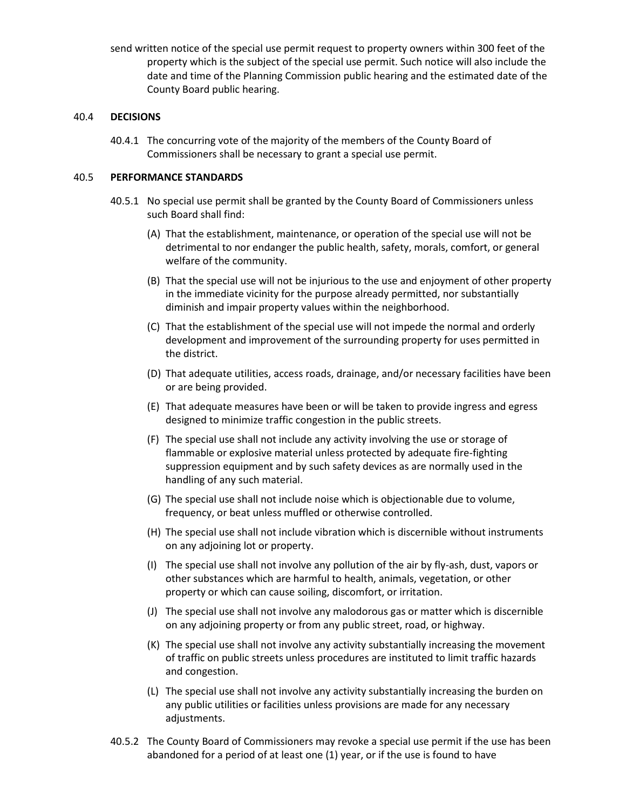send written notice of the special use permit request to property owners within 300 feet of the property which is the subject of the special use permit. Such notice will also include the date and time of the Planning Commission public hearing and the estimated date of the County Board public hearing.

## 40.4 **DECISIONS**

40.4.1 The concurring vote of the majority of the members of the County Board of Commissioners shall be necessary to grant a special use permit.

### 40.5 **PERFORMANCE STANDARDS**

- 40.5.1 No special use permit shall be granted by the County Board of Commissioners unless such Board shall find:
	- (A) That the establishment, maintenance, or operation of the special use will not be detrimental to nor endanger the public health, safety, morals, comfort, or general welfare of the community.
	- (B) That the special use will not be injurious to the use and enjoyment of other property in the immediate vicinity for the purpose already permitted, nor substantially diminish and impair property values within the neighborhood.
	- (C) That the establishment of the special use will not impede the normal and orderly development and improvement of the surrounding property for uses permitted in the district.
	- (D) That adequate utilities, access roads, drainage, and/or necessary facilities have been or are being provided.
	- (E) That adequate measures have been or will be taken to provide ingress and egress designed to minimize traffic congestion in the public streets.
	- (F) The special use shall not include any activity involving the use or storage of flammable or explosive material unless protected by adequate fire-fighting suppression equipment and by such safety devices as are normally used in the handling of any such material.
	- (G) The special use shall not include noise which is objectionable due to volume, frequency, or beat unless muffled or otherwise controlled.
	- (H) The special use shall not include vibration which is discernible without instruments on any adjoining lot or property.
	- (I) The special use shall not involve any pollution of the air by fly-ash, dust, vapors or other substances which are harmful to health, animals, vegetation, or other property or which can cause soiling, discomfort, or irritation.
	- (J) The special use shall not involve any malodorous gas or matter which is discernible on any adjoining property or from any public street, road, or highway.
	- (K) The special use shall not involve any activity substantially increasing the movement of traffic on public streets unless procedures are instituted to limit traffic hazards and congestion.
	- (L) The special use shall not involve any activity substantially increasing the burden on any public utilities or facilities unless provisions are made for any necessary adjustments.
- 40.5.2 The County Board of Commissioners may revoke a special use permit if the use has been abandoned for a period of at least one (1) year, or if the use is found to have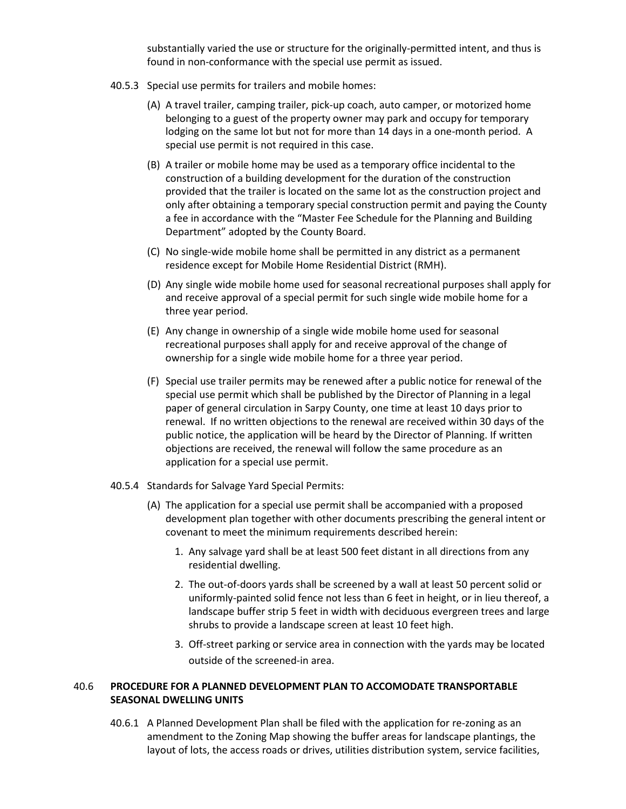substantially varied the use or structure for the originally-permitted intent, and thus is found in non-conformance with the special use permit as issued.

- 40.5.3 Special use permits for trailers and mobile homes:
	- (A) A travel trailer, camping trailer, pick-up coach, auto camper, or motorized home belonging to a guest of the property owner may park and occupy for temporary lodging on the same lot but not for more than 14 days in a one-month period. A special use permit is not required in this case.
	- (B) A trailer or mobile home may be used as a temporary office incidental to the construction of a building development for the duration of the construction provided that the trailer is located on the same lot as the construction project and only after obtaining a temporary special construction permit and paying the County a fee in accordance with the "Master Fee Schedule for the Planning and Building Department" adopted by the County Board.
	- (C) No single-wide mobile home shall be permitted in any district as a permanent residence except for Mobile Home Residential District (RMH).
	- (D) Any single wide mobile home used for seasonal recreational purposes shall apply for and receive approval of a special permit for such single wide mobile home for a three year period.
	- (E) Any change in ownership of a single wide mobile home used for seasonal recreational purposes shall apply for and receive approval of the change of ownership for a single wide mobile home for a three year period.
	- (F) Special use trailer permits may be renewed after a public notice for renewal of the special use permit which shall be published by the Director of Planning in a legal paper of general circulation in Sarpy County, one time at least 10 days prior to renewal. If no written objections to the renewal are received within 30 days of the public notice, the application will be heard by the Director of Planning. If written objections are received, the renewal will follow the same procedure as an application for a special use permit.
- 40.5.4 Standards for Salvage Yard Special Permits:
	- (A) The application for a special use permit shall be accompanied with a proposed development plan together with other documents prescribing the general intent or covenant to meet the minimum requirements described herein:
		- 1. Any salvage yard shall be at least 500 feet distant in all directions from any residential dwelling.
		- 2. The out-of-doors yards shall be screened by a wall at least 50 percent solid or uniformly-painted solid fence not less than 6 feet in height, or in lieu thereof, a landscape buffer strip 5 feet in width with deciduous evergreen trees and large shrubs to provide a landscape screen at least 10 feet high.
		- 3. Off-street parking or service area in connection with the yards may be located outside of the screened-in area.

# 40.6 **PROCEDURE FOR A PLANNED DEVELOPMENT PLAN TO ACCOMODATE TRANSPORTABLE SEASONAL DWELLING UNITS**

40.6.1 A Planned Development Plan shall be filed with the application for re-zoning as an amendment to the Zoning Map showing the buffer areas for landscape plantings, the layout of lots, the access roads or drives, utilities distribution system, service facilities,